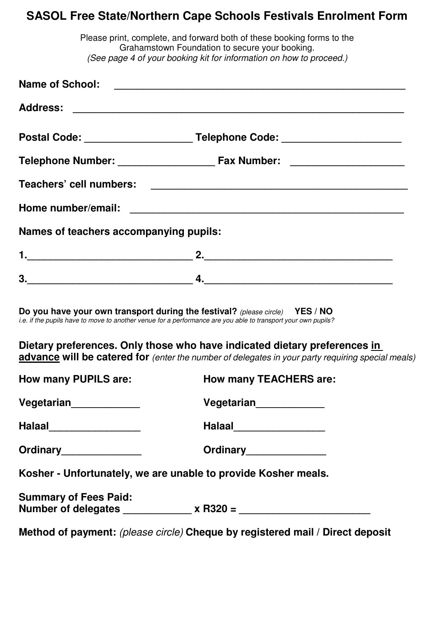## **SASOL Free State/Northern Cape Schools Festivals Enrolment Form**

|                                        | Please print, complete, and forward both of these booking forms to the<br>Grahamstown Foundation to secure your booking.<br>(See page 4 of your booking kit for information on how to proceed.)                                                                            |  |  |  |  |  |  |  |  |
|----------------------------------------|----------------------------------------------------------------------------------------------------------------------------------------------------------------------------------------------------------------------------------------------------------------------------|--|--|--|--|--|--|--|--|
|                                        |                                                                                                                                                                                                                                                                            |  |  |  |  |  |  |  |  |
|                                        |                                                                                                                                                                                                                                                                            |  |  |  |  |  |  |  |  |
|                                        | Postal Code: __________________________Telephone Code: _________________________                                                                                                                                                                                           |  |  |  |  |  |  |  |  |
|                                        |                                                                                                                                                                                                                                                                            |  |  |  |  |  |  |  |  |
|                                        |                                                                                                                                                                                                                                                                            |  |  |  |  |  |  |  |  |
|                                        |                                                                                                                                                                                                                                                                            |  |  |  |  |  |  |  |  |
| Names of teachers accompanying pupils: |                                                                                                                                                                                                                                                                            |  |  |  |  |  |  |  |  |
|                                        |                                                                                                                                                                                                                                                                            |  |  |  |  |  |  |  |  |
|                                        |                                                                                                                                                                                                                                                                            |  |  |  |  |  |  |  |  |
|                                        | Do you have your own transport during the festival? (please circle) YES / NO<br>i.e. if the pupils have to move to another venue for a performance are you able to transport your own pupils?<br>Dietary preferences. Only those who have indicated dietary preferences in |  |  |  |  |  |  |  |  |
|                                        | advance will be catered for (enter the number of delegates in your party requiring special meals)                                                                                                                                                                          |  |  |  |  |  |  |  |  |
| <b>How many PUPILS are:</b>            | <b>How many TEACHERS are:</b>                                                                                                                                                                                                                                              |  |  |  |  |  |  |  |  |
| Vegetarian <sub>______________</sub>   | Vegetarian <sub>_____________</sub>                                                                                                                                                                                                                                        |  |  |  |  |  |  |  |  |
| Halaal_________________                | Halaal___________________                                                                                                                                                                                                                                                  |  |  |  |  |  |  |  |  |
| Ordinary_______________                | Ordinary_______________                                                                                                                                                                                                                                                    |  |  |  |  |  |  |  |  |
|                                        | Kosher - Unfortunately, we are unable to provide Kosher meals.                                                                                                                                                                                                             |  |  |  |  |  |  |  |  |
| <b>Summary of Fees Paid:</b>           |                                                                                                                                                                                                                                                                            |  |  |  |  |  |  |  |  |
|                                        | Method of payment: (please circle) Cheque by registered mail / Direct deposit                                                                                                                                                                                              |  |  |  |  |  |  |  |  |